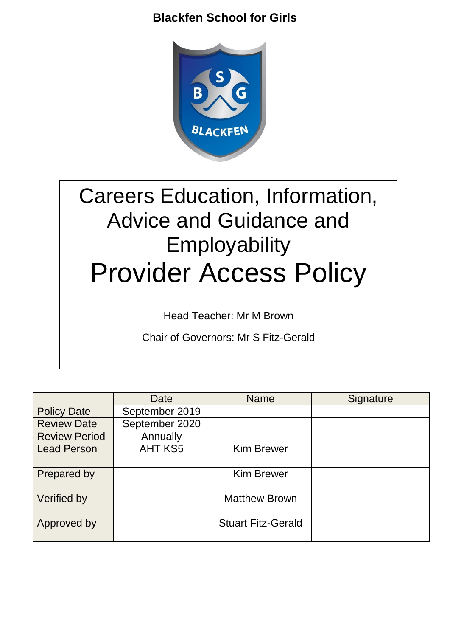

# Careers Education, Information, Advice and Guidance and **Employability** Provider Access Policy

Head Teacher: Mr M Brown

Chair of Governors: Mr S Fitz-Gerald

|                      | Date           | <b>Name</b>               | Signature |
|----------------------|----------------|---------------------------|-----------|
| <b>Policy Date</b>   | September 2019 |                           |           |
| <b>Review Date</b>   | September 2020 |                           |           |
| <b>Review Period</b> | Annually       |                           |           |
| <b>Lead Person</b>   | <b>AHT KS5</b> | <b>Kim Brewer</b>         |           |
| Prepared by          |                | <b>Kim Brewer</b>         |           |
| Verified by          |                | <b>Matthew Brown</b>      |           |
| Approved by          |                | <b>Stuart Fitz-Gerald</b> |           |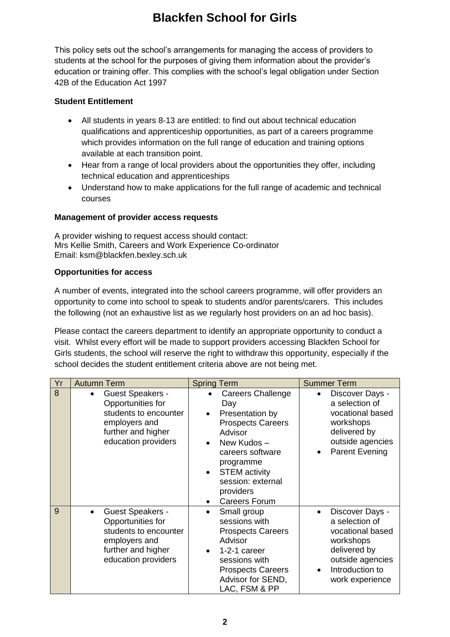This policy sets out the school's arrangements for managing the access of providers to students at the school for the purposes of giving them information about the provider's education or training offer. This complies with the school's legal obligation under Section 42B of the Education Act 1997

#### **Student Entitlement**

- All students in years 8-13 are entitled: to find out about technical education qualifications and apprenticeship opportunities, as part of a careers programme which provides information on the full range of education and training options available at each transition point.
- Hear from a range of local providers about the opportunities they offer, including technical education and apprenticeships
- Understand how to make applications for the full range of academic and technical courses

#### **Management of provider access requests**

A provider wishing to request access should contact: Mrs Kellie Smith, Careers and Work Experience Co-ordinator Email: ksm@blackfen.bexley.sch.uk

#### **Opportunities for access**

A number of events, integrated into the school careers programme, will offer providers an opportunity to come into school to speak to students and/or parents/carers. This includes the following (not an exhaustive list as we regularly host providers on an ad hoc basis).

Please contact the careers department to identify an appropriate opportunity to conduct a visit. Whilst every effort will be made to support providers accessing Blackfen School for Girls students, the school will reserve the right to withdraw this opportunity, especially if the school decides the student entitlement criteria above are not being met.

| Yr | <b>Autumn Term</b>                                                                                                                        | <b>Spring Term</b>                                                                                                                                                                                                                                                             | <b>Summer Term</b>                                                                                                                           |
|----|-------------------------------------------------------------------------------------------------------------------------------------------|--------------------------------------------------------------------------------------------------------------------------------------------------------------------------------------------------------------------------------------------------------------------------------|----------------------------------------------------------------------------------------------------------------------------------------------|
| 8  | Guest Speakers -<br>Opportunities for<br>students to encounter<br>employers and<br>further and higher<br>education providers              | <b>Careers Challenge</b><br>Day<br>Presentation by<br>$\bullet$<br><b>Prospects Careers</b><br>Advisor<br>New Kudos-<br>$\bullet$<br>careers software<br>programme<br><b>STEM</b> activity<br>$\bullet$<br>session: external<br>providers<br><b>Careers Forum</b><br>$\bullet$ | Discover Days -<br>a selection of<br>vocational based<br>workshops<br>delivered by<br>outside agencies<br><b>Parent Evening</b>              |
| 9  | Guest Speakers -<br>$\bullet$<br>Opportunities for<br>students to encounter<br>employers and<br>further and higher<br>education providers | Small group<br>$\bullet$<br>sessions with<br><b>Prospects Careers</b><br>Advisor<br>1-2-1 career<br>$\bullet$<br>sessions with<br><b>Prospects Careers</b><br>Advisor for SEND,<br>LAC, FSM & PP                                                                               | Discover Days -<br>a selection of<br>vocational based<br>workshops<br>delivered by<br>outside agencies<br>Introduction to<br>work experience |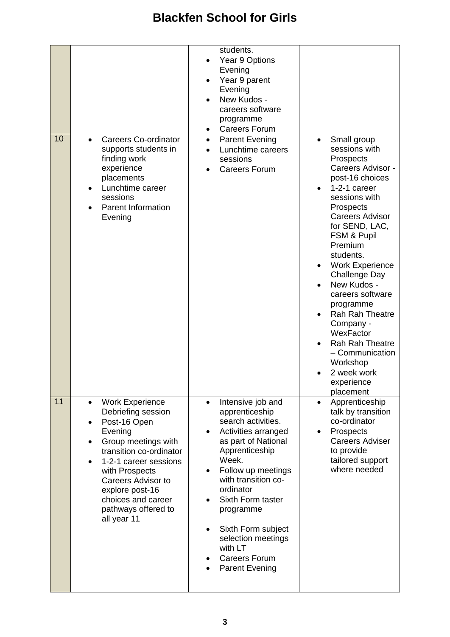|    |                                                                                                                                                                                                                                                                                                     | students.                                                                                                                                                                                                                                                                                                                                                                     |                                                                                                                                                                                                                                                                                                                                                                                                                                                      |
|----|-----------------------------------------------------------------------------------------------------------------------------------------------------------------------------------------------------------------------------------------------------------------------------------------------------|-------------------------------------------------------------------------------------------------------------------------------------------------------------------------------------------------------------------------------------------------------------------------------------------------------------------------------------------------------------------------------|------------------------------------------------------------------------------------------------------------------------------------------------------------------------------------------------------------------------------------------------------------------------------------------------------------------------------------------------------------------------------------------------------------------------------------------------------|
| 10 | <b>Careers Co-ordinator</b><br>$\bullet$                                                                                                                                                                                                                                                            | Year 9 Options<br>$\bullet$<br>Evening<br>Year 9 parent<br>$\bullet$<br>Evening<br>New Kudos -<br>careers software<br>programme<br><b>Careers Forum</b><br>$\bullet$<br><b>Parent Evening</b><br>$\bullet$                                                                                                                                                                    | Small group<br>$\bullet$                                                                                                                                                                                                                                                                                                                                                                                                                             |
|    | supports students in<br>finding work<br>experience<br>placements<br>Lunchtime career<br>$\bullet$<br>sessions<br><b>Parent Information</b><br>Evening                                                                                                                                               | Lunchtime careers<br>sessions<br><b>Careers Forum</b>                                                                                                                                                                                                                                                                                                                         | sessions with<br>Prospects<br>Careers Advisor -<br>post-16 choices<br>1-2-1 career<br>sessions with<br>Prospects<br><b>Careers Advisor</b><br>for SEND, LAC,<br>FSM & Pupil<br>Premium<br>students.<br><b>Work Experience</b><br>$\bullet$<br>Challenge Day<br>New Kudos -<br>careers software<br>programme<br>Rah Rah Theatre<br>Company -<br>WexFactor<br>Rah Rah Theatre<br>- Communication<br>Workshop<br>2 week work<br>experience<br>placement |
| 11 | <b>Work Experience</b><br>$\bullet$<br>Debriefing session<br>Post-16 Open<br>Evening<br>Group meetings with<br>$\bullet$<br>transition co-ordinator<br>1-2-1 career sessions<br>with Prospects<br>Careers Advisor to<br>explore post-16<br>choices and career<br>pathways offered to<br>all year 11 | Intensive job and<br>$\bullet$<br>apprenticeship<br>search activities.<br>Activities arranged<br>as part of National<br>Apprenticeship<br>Week.<br>Follow up meetings<br>$\bullet$<br>with transition co-<br>ordinator<br>Sixth Form taster<br>programme<br>Sixth Form subject<br>$\bullet$<br>selection meetings<br>with LT<br><b>Careers Forum</b><br><b>Parent Evening</b> | Apprenticeship<br>$\bullet$<br>talk by transition<br>co-ordinator<br>Prospects<br><b>Careers Adviser</b><br>to provide<br>tailored support<br>where needed                                                                                                                                                                                                                                                                                           |